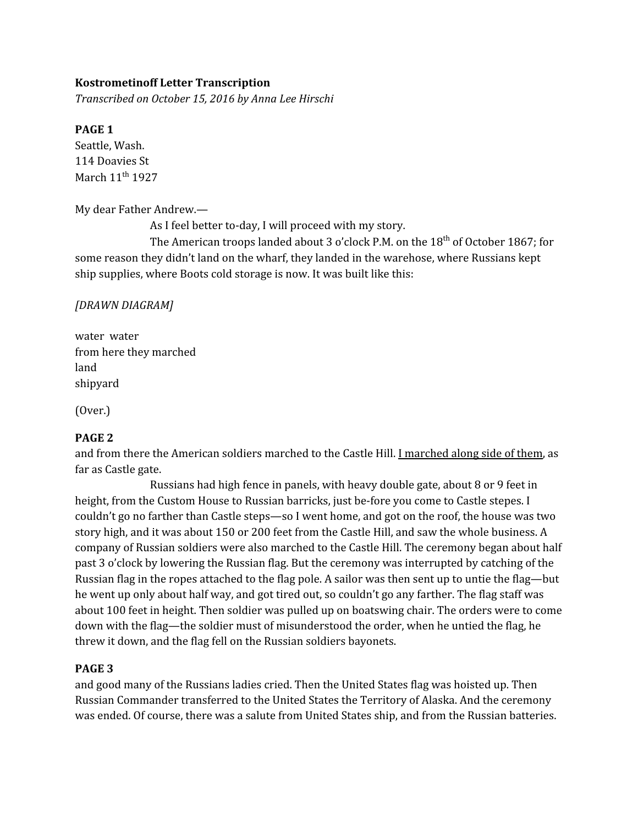# **Kostrometinoff Letter Transcription**

*Transcribed on October 15, 2016 by Anna Lee Hirschi*

### **PAGE 1**

Seattle, Wash. 114 Doavies St March 11<sup>th</sup> 1927

My dear Father Andrew.—

As I feel better to-day, I will proceed with my story.

The American troops landed about 3 o'clock P.M. on the 18<sup>th</sup> of October 1867; for some reason they didn't land on the wharf, they landed in the warehose, where Russians kept ship supplies, where Boots cold storage is now. It was built like this:

*[DRAWN DIAGRAM]*

water water from here they marched land shipyard

(Over.)

### **PAGE 2**

and from there the American soldiers marched to the Castle Hill. I marched along side of them, as far as Castle gate.

Russians had high fence in panels, with heavy double gate, about 8 or 9 feet in height, from the Custom House to Russian barricks, just be-fore you come to Castle stepes. I couldn't go no farther than Castle steps—so I went home, and got on the roof, the house was two story high, and it was about 150 or 200 feet from the Castle Hill, and saw the whole business. A company of Russian soldiers were also marched to the Castle Hill. The ceremony began about half past 3 o'clock by lowering the Russian flag. But the ceremony was interrupted by catching of the Russian flag in the ropes attached to the flag pole. A sailor was then sent up to untie the flag—but he went up only about half way, and got tired out, so couldn't go any farther. The flag staff was about 100 feet in height. Then soldier was pulled up on boatswing chair. The orders were to come down with the flag—the soldier must of misunderstood the order, when he untied the flag, he threw it down, and the flag fell on the Russian soldiers bayonets.

### **PAGE 3**

and good many of the Russians ladies cried. Then the United States flag was hoisted up. Then Russian Commander transferred to the United States the Territory of Alaska. And the ceremony was ended. Of course, there was a salute from United States ship, and from the Russian batteries.